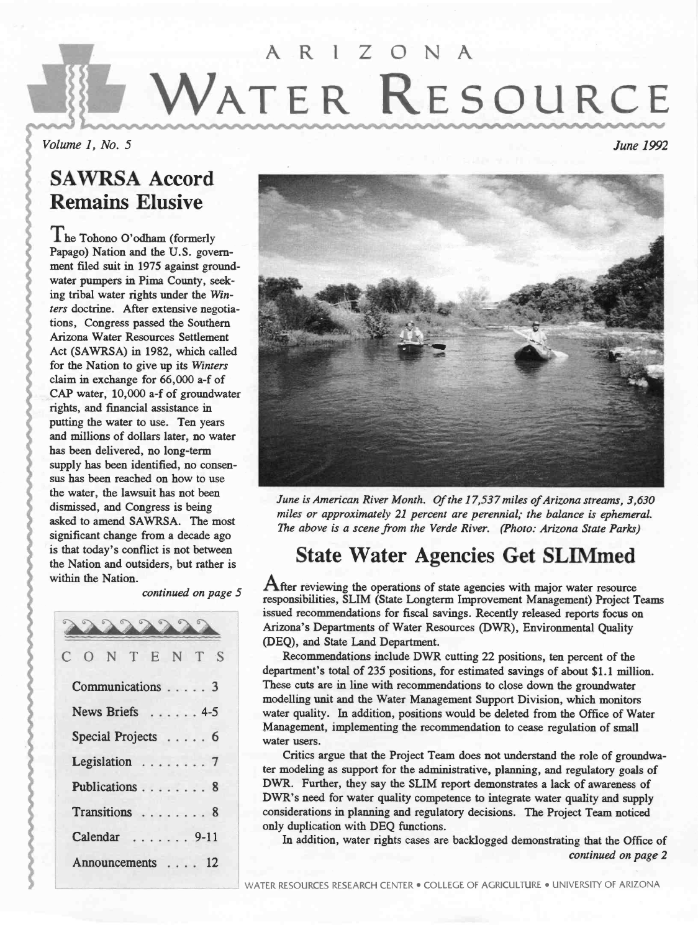# AR! ZONA WATER RESOURCE

Volume 1, No. 5 June 1992

# SAWRSA Accord Remains Elusive

The Tohono O'odham (formerly Papago) Nation and the U.S. government filed suit in 1975 against groundwater pumpers in Pima County, seeking tribal water rights under the Winters doctrine. After extensive negotiations, Congress passed the Southern Arizona Water Resources Settlement Act (SAWRSA) in 1982, which called for the Nation to give up its Winters claim in exchange for 66,000 a-f of CAP water, 10,000 a-f of groundwater rights, and financial assistance in putting the water to use. Ten years and millions of dollars later, no water has been delivered, no long-term supply has been identified, no consensus has been reached on how to use the water, the lawsuit has not been dismissed, and Congress is being asked to amend SAWRSA. The most significant change from a decade ago is that today's conflict is not between the Nation and outsiders, but rather is within the Nation.

continued on page 5

|   |                    |  |  |  | A        |
|---|--------------------|--|--|--|----------|
| C | ONTENTS            |  |  |  | Œ        |
|   | Communications 3   |  |  |  | de<br>Tl |
|   | News Briefs 4-5    |  |  |  | m<br>W:  |
|   | Special Projects 6 |  |  |  | M<br>W:  |
|   | Legislation 7      |  |  |  | te:      |
|   | Publications 8     |  |  |  | D<br>D   |
|   | Transitions  8     |  |  |  | co       |
|   | Calendar  9-11     |  |  |  | or       |
|   | Announcements 12   |  |  |  |          |
|   |                    |  |  |  |          |



June is American River Month. Of the 17,537 miles of Arizona streams, 3,630 miles or approximately 21 percent are perennial; the balance is ephemeral. The above is a scene from the Verde River. (Photo: Arizona State Parks)

# State Water Agencies Get SLiMmed

After reviewing the operations of state agencies with major water resource responsibilities, SLIM (State Longterm Improvement Management) Project Teams issued recommendations for fiscal savings. Recently released reports focus on Arizona's Departments of Water Resources (DWR), Environmental Quality (DEQ), and State Land Department.

O N T E N T S<br>Recommendations include DWR cutting 22 positions, ten percent of the department's total of 235 positions, for estimated savings of about \$1.1 million. These cuts are in line with recommendations to close down the groundwater modelling unit and the Water Management Support Division, which monitors water quality. In addition, positions would be deleted from the Office of Water Management, implementing the recommendation to cease regulation of small water users.

> Critics argue that the Project Team does not understand the role of groundwater modeling as support for the administrative, planning, and regulatory goals of DWR. Further, they say the SLIM report demonstrates a lack of awareness of DWR's need for water quality competence to integrate water quality and supply considerations in planning and regulatory decisions. The Project Team noticed only duplication with DEQ functions.

In addition, water rights cases are backlogged demonstrating that the Office of continued on page 2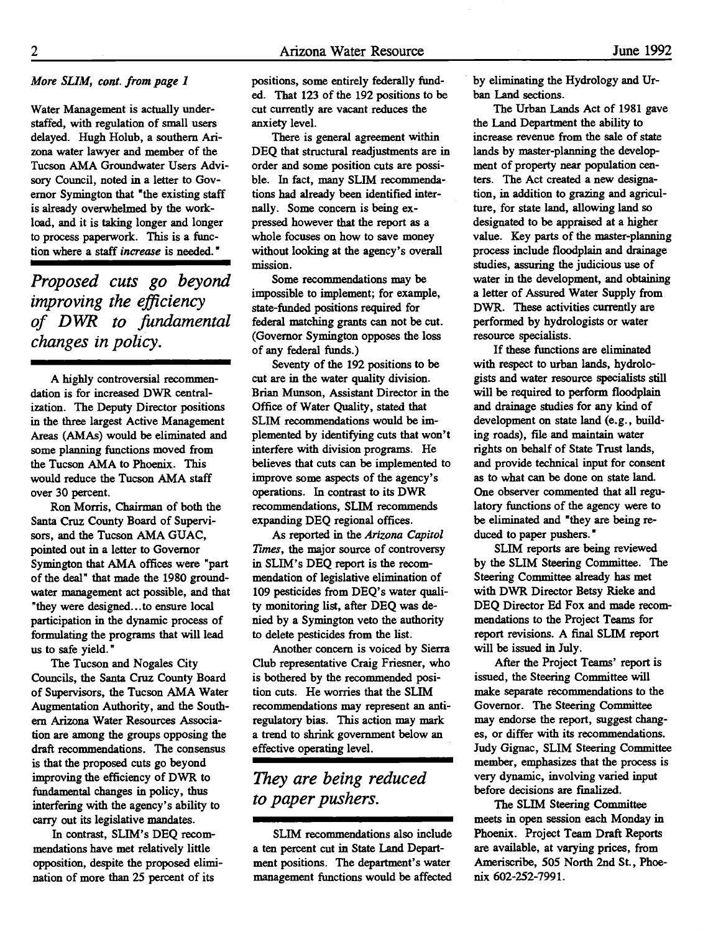#### More SLIM, cont. from page 1

Water Management is actually understaffed, with regulation of small users delayed. Hugh Holub, a southern Arizona water lawyer and member of the Tucson AMA Groundwater Users Advisory Council, noted in a letter to Governor Symington that "the existing staff is already overwhelmed by the workload, and it is taking longer and longer to process paperwork. This is a function where a staff increase is needed."

Proposed cuts go beyond improving the efficiency of DWR to fundamental changes in policy.

A highly controversial recommendation is for increased DWR centralization. The Deputy Director positions in the three largest Active Management Areas (AMAs) would be eliminated and some planning functions moved from the Tucson AMA to Phoenix. This would reduce the Tucson AMA staff over 30 percent.

Ron Morris, Chairman of both the Santa Cruz County Board of Supervisors, and the Tucson AMA GUAC, pointed out in a letter to Governor Symington that AMA offices were "part of the deal" that made the 1980 groundwater management act possible, and that "they were designed.. .to ensure local participation in the dynamic process of formulating the programs that will lead us to safe yield."

The Tucson and Nogales City Councils, the Santa Cruz County Board of Supervisors, the Tucson AMA Water Augmentation Authority, and the Southern Arizona Water Resources Association are among the groups opposing the draft recommendations. The consensus is that the proposed cuts go beyond improving the efficiency of DWR to fundamental changes in policy, thus interfering with the agency's ability to carry out its legislative mandates.

In contrast, SLIM's DEQ recommendations have met relatively little opposition, despite the proposed elimination of more than 25 percent of its

positions, some entirely federally funded. That 123 of the 192 positions to be cut currently are vacant reduces the anxiety level.

There is general agreement within DEQ that structural readjustments are in order and some position cuts are possible. In fact, many SLIM recommendations had already been identified internally. Some concern is being expressed however that the report as a whole focuses on how to save money without looking at the agency's overall mission.

Some recommendations may be impossible to implement; for example, state-funded positions required for federal matching grants can not be cut. (Governor Symington opposes the loss of any federal funds.)

Seventy of the 192 positions to be cut are in the water quality division. Brian Munson, Assistant Director in the Office of Water Quality, stated that SLIM recommendations would be implemented by identifying cuts that won't interfere with division programs. He believes that cuts can be implemented to improve some aspects of the agency's operations. In contrast to its DWR recommendations, SLIM recommends expanding DEQ regional offices.

As reported in the Arizona Capitol Times, the major source of controversy in SLIM's DEQ report is the recommendation of legislative elimination of 109 pesticides from DEQ's water quality monitoring list, after DEQ was denied by a Symington veto the authority to delete pesticides from the list.

Another concern is voiced by Sierra Club representative Craig Friesner, who is bothered by the recommended position cuts. He worries that the SLIM recommendations may represent an antiregulatory bias. This action may mark a trend to shrink government below an effective operating level.

## They are being reduced to paper pushers.

SLIM recommendations also include a ten percent cut in State Land Department positions. The department's water management functions would be affected by eliminating the Hydrology and Urban Land sections.

The Urban Lands Act of 1981 gave the Land Department the ability to increase revenue from the sale of state lands by master-planning the development of property near population canters. The Act created a new designation, in addition to grazing and agriculture, for state land, allowing land so designated to be appraised at a higher value. Key parts of the master-planning process include floodplain and drainage studies, assuring the judicious use of water in the development, and obtaining a letter of Assured Water Supply from DWR. These activities currently are performed by hydrologists or water resource specialists.

If these functions are eliminated with respect to urban lands, hydrologists and water resource specialists still will be required to perform floodplain and drainage studies for any kind of development on state land (e.g., building roads), file and maintain water rights on behalf of State Trust lands, and provide technical input for consent as to what can be done on state land. One observer commented that all regulatory functions of the agency were to be eliminated and "they are being reduced to paper pushers."

SLIM reports are being reviewed by the SLIM Steering Committee. The Steering Committee already has met with DWR Director Betsy Rieke and DEQ Director Ed Fox and made recommendations to the Project Teams for report revisions. A final SLIM report will be issued in July.

After the Project Teams' report is issued, the Steering Committee will make separate recommendations to the Governor. The Steering Committee may endorse the report, suggest changes, or differ with its recommendations. Judy Gignac, SLIM Steering Committee member, emphasizes that the process is very dynamic, involving varied input before decisions are finalized.

The SLIM Steering Committee meets in open session each Monday in Phoenix. Project Team Draft Reports are available, at varying prices, from Ameriscribe, 505 North 2nd St., Phoenix 602-252-7991.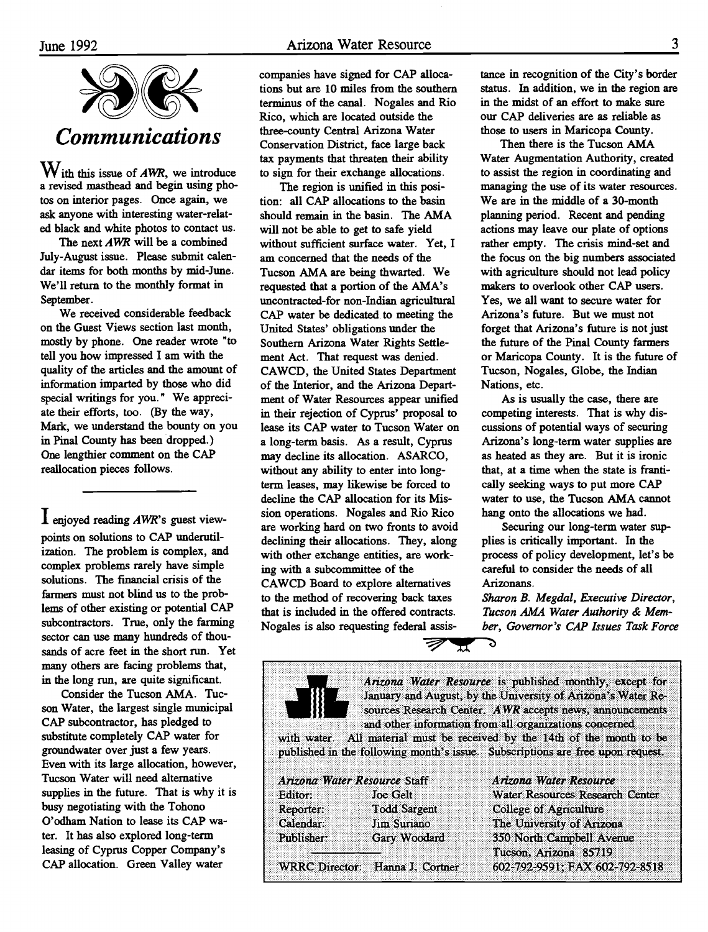

 $W$  ith this issue of *AWR*, we introduce a revised masthead and begin using photos on interior pages. Once again, we ask anyone with interesting water-related black and white photos to contact us.

The next AWR will be a combined July-August issue. Please submit calendar items for both months by mid-June. We'll return to the monthly format in September.

We received considerable feedback on the Guest Views section last month, mostly by phone. One reader wrote "to tell you how impressed I am with the quality of the articles and the amount of information imparted by those who did special writings for you." We appreciate their efforts, too. (By the way, Mark, we understand the bounty on you in Pinal County has been dropped.) One lengthier comment on the CAP reallocation pieces follows.

 $\mathbf 1$  enjoyed reading AWR's guest viewpoints on solutions to CAP underutilization. The problem is complex, and complex problems rarely have simple solutions. The financial crisis of the farmers must not blind us to the problems of other existing or potential CAP subcontractors. True, only the farming sector can use many hundreds of thousands of acre feet in the short run. Yet many others are facing problems that, in the long run, are quite significant.

Consider the Tucson AMA. Tucson Water, the largest single municipal CAP subcontractor, has pledged to substitute completely CAP water for groundwater over just a few years. Even with its large allocation, however, Tucson Water will need alternative supplies in the future. That is why it is busy negotiating with the Tohono O'odham Nation to lease its CAP water. It has also explored long-term leasing of Cyprus Copper Company's CAP allocation. Green Valley water

companies have signed for CAP allocations but are lO miles from the southern terminus of the canal. Nogales and Rio Rico, which are located outside the three-county Central Arizona Water Conservation District, face large back tax payments that threaten their ability to sign for their exchange allocations.

The region is unified in this position: all CAP allocations to the basin should remain in the basin. The AMA will not be able to get to safe yield without sufficient surface water. Yet, I am concerned that the needs of the Tucson AMA are being thwarted. We requested that a portion of the AMA's uncontracted-for non-Indian agricultural CAP water be dedicated to meeting the United States' obligations under the Southern Arizona Water Rights Settlement Act. That request was denied. CAWCD, the United States Department of the Interior, and the Arizona Department of Water Resources appear unified in their rejection of Cyprus' proposal to lease its CAP water to Tucson Water on a long-term basis. As a result, Cyprus may decline its allocation. ASARCO, without any ability to enter into longterm leases, may likewise be forced to decline the CAP allocation for its Mission operations. Nogales and Rio Rico are working hard on two fronts to avoid declining their allocations. They, along with other exchange entities, are working with a subcommittee of the CAWCD Board to explore alternatives to the method of recovering back taxes that is included in the offered contracts. Nogales is also requesting federal assis-

tance in recognition of the City's border status. In addition, we in the region are in the midst of an effort to make sure our CAP deliveries are as reliable as those to users in Maricopa County.

Then there is the Tucson AMA Water Augmentation Authority, created to assist the region in coordinating and managing the use of its water resources. We are in the middle of a 30-month planning period. Recent and pending actions may leave our plate of options rather empty. The crisis mind-set and the focus on the big numbers associated with agriculture should not lead policy makers to overlook other CAP users. Yes, we all want to secure water for Arizona's future. But we must not forget that Arizona's future is not just the future of the Pinal County farmers or Maricopa County. It is the future of Tucson, Nogales, Globe, the Indian Nations, etc.

As is usually the case, there are competing interests. That is why discussions of potential ways of securing Arizona's long-term water supplies are as heated as they are. But it is ironic that, at a time when the state is frantically seeking ways to put more CAP water to use, the Tucson AMA cannot hang onto the allocations we had.

Securing our long-term water supplies is critically important. In the process of policy development, let's be careful to consider the needs of all Arizonans.

Sharon B. Megdal, Executive Director, Tucson AMA Water Authority & Member, Governor 's CAP Issues Task Force

Arizona Water Resource ìs published monthly, except for January and August, by the Umversity of Arizona's Water Resources Research Center. AWR accepts news, announcements and other information from all organizations concerned

5

with water. All material must be received by the 14th of the month to be published in the following month's issue. Subscriptions are free upon request.

 $\bm{\pi}$ 

| Arizona Water Resource Staff |                                 | Arizona Water Resource          |  |
|------------------------------|---------------------------------|---------------------------------|--|
| Editor:                      | <b>Joe Gelt</b>                 | Water Resources Research Center |  |
| Reporter:                    | <b>Todd Sargent</b>             | College of Agriculture          |  |
| Calendar:                    | Jim Suriano                     | The University of Arizona       |  |
| Publisher:                   | Gary Woodard                    | 350 North Campbell Avenue       |  |
|                              |                                 | Tucson, Arizona 85719           |  |
|                              | WRRC Director: Hanna J. Cortner | 602-792-9591; FAX 602-792-8518  |  |

T)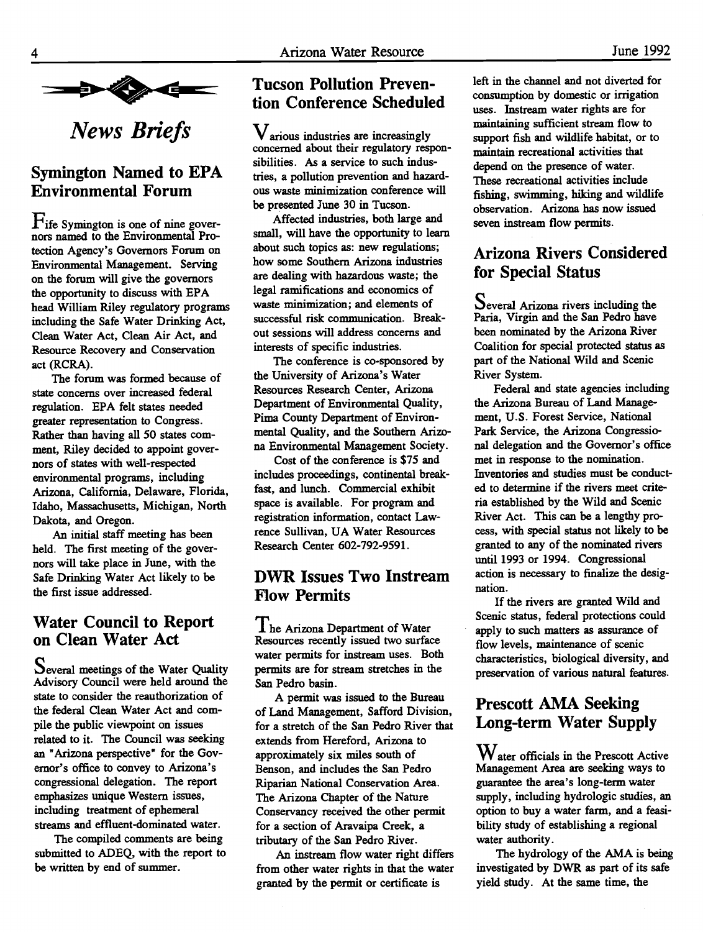

News Briefs

## Symington Named to EPA Environmental Forum

 $\Gamma$ ife Symington is one of nine governors named to the Environmental Protection Agency's Governors Forum on Environmental Management. Serving on the forum will give the governors the opportunity to discuss with EPA head William Riley regulatory programs including the Safe Water Drinking Act, Clean Water Act, Clean Air Act, and Resource Recovery and Conservation act (RCRA).

The forum was formed because of state concerns over increased federal regulation. EPA felt states needed greater representation to Congress. Rather than having all 50 states comment, Riley decided to appoint governors of states with well-respected environmental programs, including Arizona, California, Delaware, Florida, Idaho, Massachusetts, Michigan, North Dakota, and Oregon.

An initial staff meeting has been held. The first meeting of the governors will take place in June, with the Safe Drinking Water Act likely to be the first issue addressed.

## Water Council to Report on Clean Water Act

Several meetings of the Water Quality Advisory Council were held around the state to consider the reauthorization of the federal Clean Water Act and compile the public viewpoint on issues related to it. The Council was seeking an "Arizona perspective" for the Governor's office to convey to Arizona's congressional delegation. The report emphasizes unique Western issues, including treatment of ephemeral streams and effluent-dominated water.

The compiled comments are being submitted to ADEQ, with the report to be written by end of summer

## Tucson Pollution Prevention Conference Scheduled

 $V$ arious industries are increasingly concerned about their regulatory responsibilities. As a service to such industries, a pollution prevention and hazardous waste minimization conference will be presented June 30 in Tucson.

Affected industries, both large and small, will have the opportunity to learn about such topics as: new regulations; how some Southern Arizona industries are dealing with hazardous waste; the legal ramifications and economics of waste minimization; and elements of successful risk communication. Breakout sessions will address concerns and interests of specific industries.

The conference is co-sponsored by the University of Arizona's Water Resources Research Center, Arizona Department of Environmental Quality, Pima County Department of Environmental Quality, and the Southern Arizona Environmental Management Society.

Cost of the conference is \$75 and includes proceedings, continental breakfast, and lunch. Commercial exhibit space is available. For program and registration information, contact Lawrence Sullivan, UA Water Resources Research Center 602-792-9591.

#### DWR Issues Two Instream flow Permits

The Arizona Department of Water Resources recently issued two surface water permits for instream uses. Both permits are for stream stretches in the San Pedro basin.

A permit was issued to the Bureau of Land Management, Safford Division, for a stretch of the San Pedro River that extends from Hereford, Arizona to approximately six miles south of Benson, and includes the San Pedro Riparian National Conservation Area. The Arizona Chapter of the Nature Conservancy received the other permit for a section of Aravaipa Creek, a tributary of the San Pedro River.

An instream flow water right differs from other water rights in that the water granted by the permit or certificate is

left in the channel and not diverted for consumption by domestic or irrigation uses. Instream water rights are for maintaining sufficient stream flow to support fish and wildlife habitat, or to maintain recreational activities that depend on the presence of water. These recreational activities include fishing, swimming, hiking and wildlife observation. Arizona has now issued seven instream flow permits.

## Arizona Rivers Considered for Special Status

Several Arizona rivers including the Paria, Virgin and the San Pedro have been nominated by the Arizona River Coalition for special protected status as part of the National Wild and Scenic River System.

Federal and state agencies including the Arizona Bureau of Land Management, U.S. Forest Service, National Park Service, the Arizona Congressional delegation and the Governor's office met in response to the nomination. Inventories and studies must be conducted to determine if the rivers meet criteria established by the Wild and Scenic River Act. This can be a lengthy process, with special status not likely to be granted to any of the nominated rivers until 1993 or 1994. Congressional action is necessary to finalize the designation.

If the rivers are granted Wild and Scenic status, federal protections could apply to such matters as assurance of flow levels, maintenance of scenic characteristics, biological diversity, and preservation of various natural features.

## Prescott AMA Seeking Long-term Water Supply

 $W$  ater officials in the Prescott Active Management Area are seeking ways to guarantee the area's long-term water supply, including hydrologic studies, an option to buy a water farm, and a feasibility study of establishing a regional water authority.

The hydrology of the AMA is being investigated by DWR as part of its safe yield study. At the same time, the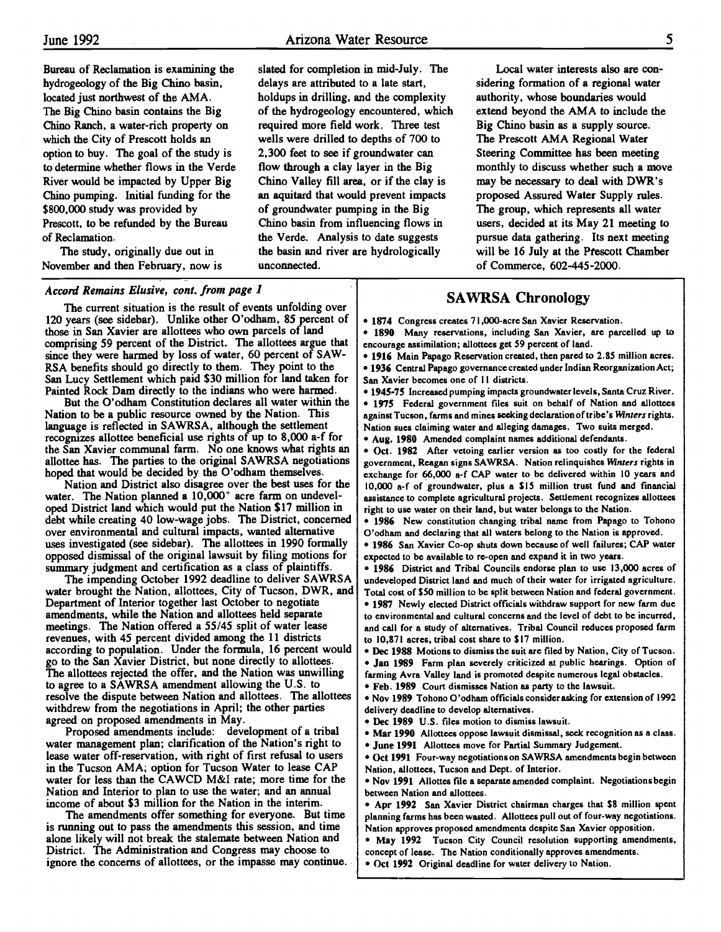Bureau of Reclamation is examining the hydrogeology of the Big Chino basin, located just northwest of the AMA. The Big Chino basin contains the Big Chino Ranch, a water-rich property on which the City of Prescott holds an option to buy. The goal of the study is to determine whether flows in the Verde River would be impacted by Upper Big Chino pumping. Initial funding for the \$800,000 study was provided by Prescott, to be refunded by the Bureau of Reclamation.

The study, originally due out in November and then February, now is

Accord Remains Elusive, cont. from page 1

agreed on proposed amendments in May.

Proposed amendments include: development of a tribal water management plan; clarification of the Nation's right to lease water off-reservation, with right of first refusal to users in the Tucson AMA; option for Tucson Water to lease CAP water for less than the CAWCD M&I rate; more time for the Nation and Interior to plan to use the water; and an annual income of about \$3 million for the Nation in the interim.

The amendments offer something for everyone. But time is running out to pass the amendments this session, and time alone likely will not break the stalemate between Nation and District. The Administration and Congress may choose to ignore the concerns of allottees, or the impasse may continue.

The current situation is the result of events unfolding over 120 years (see sidebar). Unlike other O'odham, 85 percent of those in San Xavier are allottees who own parcels of land comprising 59 percent of the District. The allottees argue that since they were harmed by loss of water, 60 percent of SAW-

San Lucy Settlement which paid \$30 million for land taken for Painted Rock Dam directly to the indians who were harmed. But the O'odham Constitution declares all water within the Nation to be a public resource owned by the Nation. This language is reflected in SAWRSA, although the settlement recognizes allottee beneficial use rights of up to 8,000 a-f for the San Xavier communal farm. No one knows what rights an allottee has. The parties to the original SAWRSA negotiations hoped that would be decided by the O'odham themselves. Nation and District also disagree over the best uses for the water. The Nation planned a 10,000<sup>+</sup> acre farm on undeveloped District land which would put the Nation \$17 million in debt while creating 40 low-wage jobs. The District, concerned over environmental and cultural impacts, wanted alternative uses investigated (see sidebar). The allottees in 1990 formally opposed dismissal of the original lawsuit by filing motions for summary judgment and certification as a class of plaintiffs. The impending October 1992 deadline to deliver SAWRSA water brought the Nation, allottees, City of Tucson, DWR, and Department of Interior together last October to negotiate amendments, while the Nation and allottees held separate meetings. The Nation offered a 55/45 split of water lease revenues, with 45 percent divided among the 11 districts according to population. Under the formula, 16 percent would go to the San Xavier District, but none directly to allottees. The allottees rejected the offer, and the Nation was unwilling to agree to a SAWRSA amendment allowing the U.S. to resolve the dispute between Nation and allottees. The allottees withdrew from the negotiations in April; the other parties

slated for completion in mid-July. The delays are attributed to a late start, holdups in drilling, and the complexity of the hydrogeology encountered, which required more field work. Three test wells were drilled to depths of 700 to 2,300 feet to see if groundwater can flow through a clay layer in the Big Chino Valley fill area, or if the clay is an aquitard that would prevent impacts of groundwater pumping in the Big Chino basin from influencing flows in the Verde. Analysis to date suggests the basin and river are hydrologically unconnected.

Local water interests also are considering formation of a regional water authority, whose boundaries would extend beyond the AMA to include the Big Chino basin as a supply source. The Prescott AMA Regional Water Steering Committee has been meeting monthly to discuss whether such a move may be necessary to deal with DWR's proposed Assured Water Supply rules. The group, which represents all water users, decided at its May 21 meeting to pursue data gathering. Its next meeting will be 16 July at the Ptescott Chamber of Commerce, 602-445-2000.

#### SAWRSA Chronology

. 1874 Congress creates 7 1 ,000-acre San Xavier Reservation.

. 1890 Many reservations, including San Xavier, are parcelled up to encourage assimilation; allottees get 59 percent of land.

. 1916 Main Papago Reservation created, then pared to 2.85 million acres. . 1936 CentraI Papago governance created under Indian Reorganization Act; San Xavier becomes one of 11 districts. RSA benefits should go directly to them. They point to the  $\vert \cdot \vert$  193

. 1945-75 Increased pumping impacts groundwater levels, Santa Cruz River.

. 1975 Federal government files suit on behalf of Nation and allottecs against Tucson, farms and mines seeking declaration of tribe's Winters rights. Nation sues claiming water and alleging damages. Two suits merged. . Aug. 1980 Amended complaint names additional defendants.

Oct. 1982 After vetoing earlier version as too costly for the federal government, Reagan signs SAWRSA. Nation relinquishes Winters rights in

exchange for 66,000 a-f CAP water to be delivered within 10 years and 10,000 a-f of groundwater, plus a \$15 million trust fund and financial assistance to complete agricultural projects. Settlement recognizes allottees right to use water on their land, but water belongs to the Nation.

1986 New constitution changing tribal name from Papago to Tohono O'odham and declaring that all waters belong to the Nation is approved.

1986 San Xavier Co-op shuts down because of well failures; CAP water expected to be available to re-open and expand it in two years.

1986 District and Tribal Councils endorse plan to use 13,000 acres of undeveloped District land and much of their water for irrigated agriculture. Total cost of \$50 million to be split between Nation and federal government. 1987 Newly elected District officials withdraw support for new farm due to environmental and cultural concerns and the level of debt to be incurred, and call for a study of alternatives. Tribal Council reduces proposed farm to 10,871 acres, tribal cost share to \$17 million.

Dec 1988 Motions to dismiss the suit are filed by Nation, City of Tucson. Jan 1989 Farm plan severely criticized at public hearings. Option of farming Avra Valley land is promoted despite numerous legal obstacles.

Feb. 1989 Court dismisses Nation as party to the lawsuit.

Nov 1989 Tohono O'odham officials considerasking for extension of 1992 delivery deadline to develop alternatives.

Dec 1989 U.S. files motion to dismiss lawsuit.

Mar 1990 Allottees oppose lawsuit dismissal, seek recognition as a class.

June 1991 Allottees move for Partial Summary Judgement.

Oct 1991 Four-way negotiations on SAWRSA amendments begin between Nation, allottees, Tucson and Dept. of Interior.

Nov 1991 Allottes file a separate amended complaint. Negotiations begin between Nation and allottees.

Apr 1992 San Xavier District chairman charges that \$8 million spent planning farms has been wasted. Allottees pull out of four-way negotiations. Nation approves proposed amendments despite San Xavier opposition.

May 1992 Tucson City Council resolution supporting amendments, concept of lease. The Nation conditionally approves amendments.

Oct 1992 Original deadline for water delivery to Nation.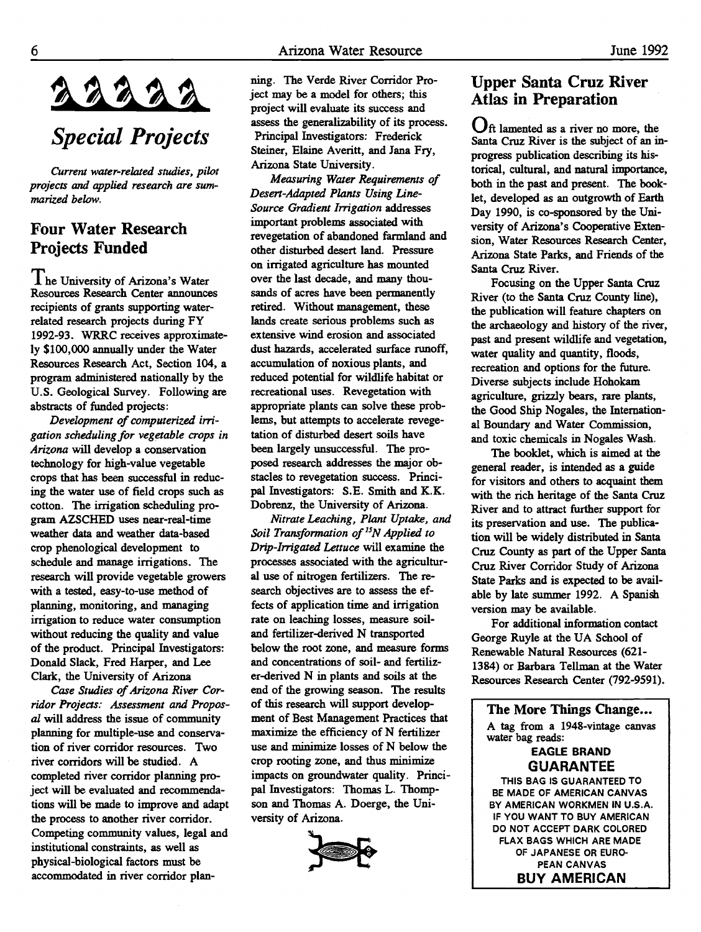# Special Projects

Current water-related studies, pilot projects and applied research are summarized below.

#### Four Water Research Projects Funded

The University of Arizona's Water Resources Research Center announces recipients of grants supporting waterrelated research projects during FY 1992-93. WRRC receives approximately \$100,000 annually under the Water Resources Research Act, Section 104, a program administered nationally by the U.S. Geological Survey. Following are abstracts of funded projects:

Development of computerized irrigation scheduling for vegetable crops in Arizona will develop a conservation technology for high-value vegetable crops that has been successful in reducing the water use of field crops such as cotton. The irrigation scheduling program AZSCHED uses near-real-time weather data and weather data-based crop phenological development to schedule and manage irrigations. The research will provide vegetable growers with a tested, easy-to-use method of planning, monitoring, and managing irrigation to reduce water consumption without reducing the quality and value of the product. Principal Investigators: Donald Slack, Fred Harper, and Lee Clark, the University of Arizona

Case Studies of Arizona River Corridor Projects: Assessment and Proposal will address the issue of community planning for multiple-use and conservation of river corridor resources. Two river corridors will be studied. A completed river corridor planning project will be evaluated and recommendations will be made to improve and adapt the process to another river corridor. Competing community values, legal and institutional constraints, as well as physical-biological factors must be accommodated in river corridor planning. The Verde River Corridor Project may be a model for others; this project will evaluate its success and assess the generalizability of its process. Principal Investigators: Frederick Steiner, Elaine Averitt, and Jana Fry, Arizona State University.

Measuring Water Requirements of Desert-Adapted Plants Using Line-Source Gradient Irrigation addresses important problems associated with revegetation of abandoned farmland and other disturbed desert land. Pressure on irrigated agriculture has mounted over the last decade, and many thousands of acres have been permanently retired. Without management, these lands create serious problems such as extensive wind erosion and associated dust hazards, accelerated surface runoff, accumulation of noxious plants, and reduced potential for wildlife habitat or recreational uses. Revegetation with appropriate plants can solve these problems, but attempts to accelerate revegetation of disturbed desert soils have been largely unsuccessful. The proposed research addresses the major obstacles to revegetation success. Principal Investigators: S.E. Smith and K.K. Dobrenz, the University of Arizona.

Nitrate Leaching, Plant Uptake, and Soil Transformation of  $^{15}N$  Applied to Drip-Irrigated Lettuce will examine the processes associated with the agricultural use of nitrogen fertilizers. The research objectives are to assess the effects of application time and irrigation rate on leaching losses, measure soiland fertilizer-derived N transported below the root zone, and measure forms and concentrations of soil- and fertilizer-derived N in plants and soils at the end of the growing season. The results of this research will support development of Best Management Practices that maximize the efficiency of N fertilizer use and minimize losses of N below the crop rooting zone, and thus minimize impacts on groundwater quality. Principal Investigators: Thomas L. Thompson and Thomas A. Doerge, the University of Arizona.



#### Upper Santa Cruz River Atlas in Preparation

Oft lamented as a river no more, the Santa Cruz River is the subject of an inprogress publication describing its historical, cultural, and natural importance, both in the past and present. The booklet, developed as an outgrowth of Earth Day 1990, is co-sponsored by the University of Arizona's Cooperative Extension, Water Resources Research Center, Arizona State Parks, and Friends of the Santa Cruz River.

Focusing on the Upper Santa Cruz River (to the Santa Cruz County line), the publication will feature chapters on the archaeology and history of the river, past and present wildlife and vegetation, water quality and quantity, floods, recreation and options for the future. Diverse subjects include Hohokam agriculture, grizzly bears, rare plants, the Good Ship Nogales, the International Boundary and Water Commission, and toxic chemicals in Nogales Wash.

The booklet, which is aimed at the general reader, is intended as a guide for visitors and others to acquaint them with the rich heritage of the Santa Cruz River and to attract further support for its preservation and use. The publication will be widely distributed in Santa Cruz County as part of the Upper Santa Cruz River Corridor Study of Arizona State Parks and is expected to be available by late summer 1992. A Spanish version may be available.

For additional information contact George Ruyle at the UA School of Renewable Natural Resources (62 1- 1384) or Barbara Tellman at the Water Resources Research Center (792-9591).

The More Things Change... A tag from a 1948-vintage canvas water bag reads:

#### EAGLE BRAND GUARANTEE

THIS BAG IS GUARANTEED TO BE MADE OF AMERICAN CANVAS BY AMERICAN WORKMEN IN U.S.A. IF YOU WANT TO BUY AMERICAN DO NOT ACCEPT DARK COLORED FLAX BAGS WHICH ARE MADE OF JAPANESE OR EURO PEAN CANVAS BUY AMERICAN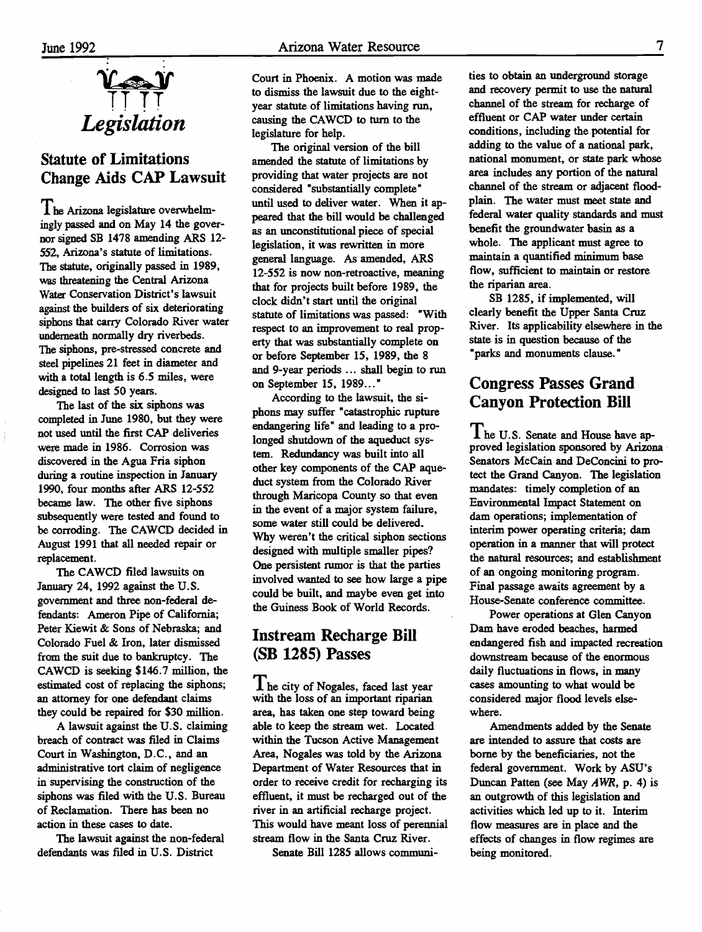

## Statute of Limitations Change Aids CAP Lawsuit

The Arizona legislature overwhelmingly passed and on May 14 the governor signed SB 1478 amending ARS 12- 552, Arizona's statute of limitations. The statute, originally passed in 1989, was threatening the Central Arizona Water Conservation District's lawsuit against the builders of six deteriorating siphons that carry Colorado River water underneath normally dry riverbeds. The siphons, pre-stressed concrete and steel pipelines 21 feet in diameter and with a total length is 6.5 miles, were designed to last 50 years.

The last of the six siphons was completed in June 1980, but they were not used until the first CAP deliveries were made in 1986. Corrosion was discovered in the Agua Fria siphon during a routine inspection in January 1990, four months after ARS 12-552 became law. The other five siphons subsequently were tested and found to be corroding. The CAWCD decided in August 1991 that all needed repair or replacement.

The CAWCD filed lawsuits on January 24, 1992 against the U.S. government and three non-federal defendants: Ameron Pipe of California; Peter Kiewit & Sons of Nebraska; and Colorado Fuel & Iron, later dismissed from the suit due to bankruptcy. The CAWCD is seeking \$146.7 million, the estimated cost of replacing the siphons; an attorney for one defendant claims they could be repaired for \$30 million.

A lawsuit against the U.S. claiming breach of contract was filed in Claims Court in Washington, D.C., and an administrative tort claim of negligence in supervising the construction of the siphons was filed with the U.S. Bureau of Reclamation. There has been no action in these cases to date.

The lawsuit against the non-federal defendants was filed in U.S. District

Court in Phoenix. A motion was made to dismiss the lawsuit due to the eightyear statute of limitations having run, causing the CAWCD to turn to the legislature for help.

The original version of the bill amended the statute of limitations by providing that water projects are not considered "substantially complete" until used to deliver water. When it appeared that the bill would be challenged as an unconstitutional piece of special legislation, it was rewritten in more general language. As amended, ARS 12-552 is now non-retroactive, meaning that for projects built before 1989, the clock didn't start until the original statute of limitations was passed: "With respect to an improvement to real property that was substantially complete on or before September 15, 1989, the 8 and 9-year periods ... shall begin to run on September 15, 1989..."

According to the lawsuit, the siphons may suffer "catastrophic rupture endangering life" and leading to a prolonged shutdown of the aqueduct system. Redundancy was built into all other key components of the CAP aqueduct system from the Colorado River through Maricopa County so that even in the event of a major system failure, some water still could be delivered. Why weren't the critical siphon sections designed with multiple smaller pipes? One persistent rumor is that the parties involved wanted to see how large a pipe could be built, and maybe even get into the Guiness Book of World Records.

#### Instream Recharge Bill (SB 1285) Passes

I he city of Nogales, faced last year with the loss of an important riparian area, has taken one step toward being able to keep the stream wet. Located within the Tucson Active Management Area, Nogales was told by the Arizona Department of Water Resources that in order to receive credit for recharging its effluent, it must be recharged out of the river in an artificial recharge project. This would have meant loss of perennial stream flow in the Santa Cruz River.

Senate Bill 1285 allows communi-

ties to obtain an underground storage and recovery permit to use the natural channel of the stream for recharge of effluent or CAP water under certain conditions, including the potential for adding to the value of a national park, national monument, or state park whose area includes any portion of the natural channel of the stream or adjacent floodplain. The water must meet state and federal water quality standards and must benefit the groundwater basin as a whole. The applicant must agree to maintain a quantified minimum base flow, sufficient to maintain or restore the riparian area.

SB 1285, if implemented, will clearly benefit the Upper Santa Cruz River. Its applicability elsewhere in the state is in question because of the "parks and monuments clause."

#### Congress Passes Grand Canyon Protection Bill

 $\prod$  he U.S. Senate and House have approved legislation sponsored by Arizona Senators McCain and DeConcini to protect the Grand Canyon. The legislation mandates: timely completion of an Environmental Impact Statement on dam operations; implementation of interim power operating criteria; dam operation in a manner that will protect the natural resources; and establishment of an ongoing monitoring program. Final passage awaits agreement by a House-Senate conference committee.

Power operations at Glen Canyon Dam have eroded beaches, harmed endangered fish and impacted recreation downstream because of the enormous daily fluctuations in flows, in many cases amounting to what would be considered major flood levels elsewhere.

Amendments added by the Senate are intended to assure that costs are borne by the beneficiaries, not the federal government. Work by ASU's Duncan Patten (see May  $AWR$ , p. 4) is an outgrowth of this legislation and activities which led up to it. Interim flow measures are in place and the effects of changes in flow regimes are being monitored.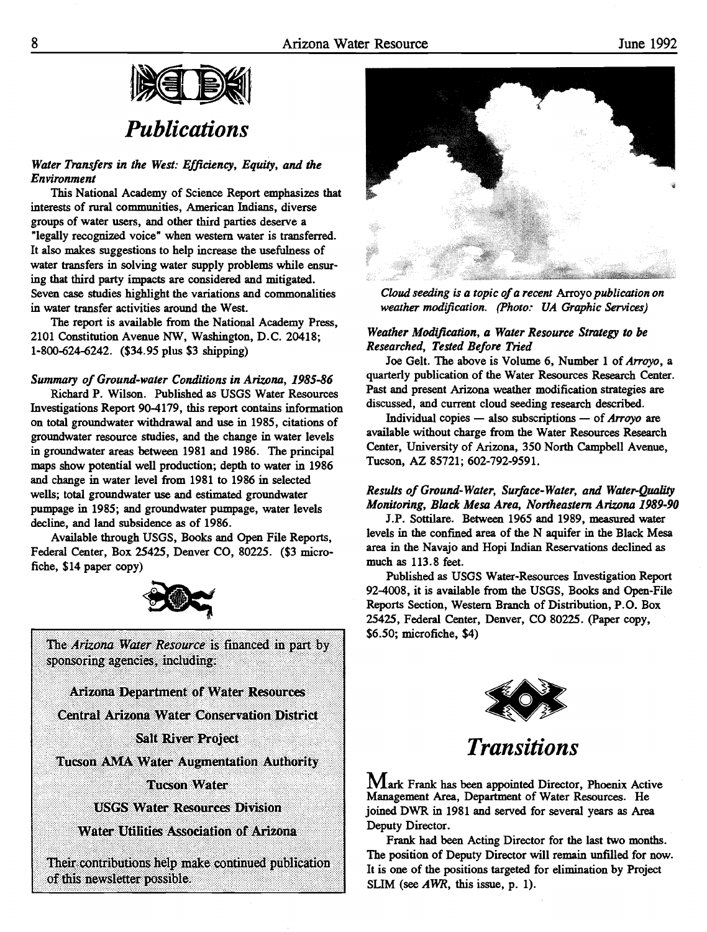

# Publications

#### Water Transfers in the West: Efficiency, Equity, and the Environment

This National Academy of Science Report emphasizes that interests of rural communities, American Indians, diverse groups of water users, and other third parties deserve a "legally recognized voice" when western water is transferred. It also makes suggestions to help increase the usefulness of water transfers in solving water supply problems while ensuring that third party impacts are considered and mitigated. Seven case studies highlight the variations and commonalities in water transfer activities around the West.

The report is available from the National Academy Press, 2101 Constitution Avenue NW, Washington, D.C. 20418; l-800-624-6242. (\$34.95 plus \$3 shipping)

#### Summary of Ground-water Conditions in Arizona, 1985-86

Richard P. Wilson. Published as USGS Water Resources Investigations Report 90-4179, this report contains information on total groundwater withdrawal and use in 1985, citations of groundwater resource studies, and the change in water levels in groundwater areas between 1981 and 1986. The principal maps show potential well production; depth to water in 1986 and change in water level from 1981 to 1986 in selected wells; total groundwater use and estimated groundwater pumpage in 1985; and groundwater pumpage, water levels decline, and land subsidence as of 1986.

Available through USGS, Books and Open File Reports, Federal Center, Box 25425, Denver CO, 80225. (\$3 microfiche, \$14 paper copy)



The Arizona Water Resource is financed in part by sponsoring agencies, including:

Arizona Department of Water Resources

Central Arizona Water Conservation District

Salt River Project

Tucson AMA Water Augmentation Authority

Tucson Water

USGS Water Resources Division

Water Utilities Association of Arizona

Their contributions help make continued publication of this newsletter possible.



Cloud seeding is a topic of a recent Arroyo publication on weather modification. (Photo: UA Graphic Services)

#### Weather Modification, a Water Resource Strategy to be Researched, Tested Before Tried

Joe Gelt. The above is Volume 6, Number 1 of Arroyo, a quarterly publication of the Water Resources Research Center. Past and present Arizona weather modification strategies are discussed, and current cloud seeding research described.

Individual copies  $-$  also subscriptions  $-$  of Arroyo are available without charge from the Water Resources Research Center, University of Arizona, 350 North Campbell Avenue, Tucson, AZ 85721; 602-792-9591.

#### Results of Ground-Water, Surface-Water, and Water-Quality Monitoring, Black Mesa Area, Northeastern Arizona 1989-90

J.P. Sottilare. Between 1965 and 1989, measured water levels in the confined area of the N aquifer in the Black Mesa area in the Navajo and Hopi Indian Reservations declined as much as 113.8 feet.

Published as USGS Water-Resources Investigation Report 92-4008, it is available from the USGS, Books and Open-File Reports Section, Western Branch of Distribution, P.O. Box 25425, Federal Center, Denver, CO 80225. (Paper copy, \$6.50; microfiche, \$4)



**Transitions** 

 $M$ ark Frank has been appointed Director, Phoenix Active Management Area, Department of Water Resources. He joined DWR in 1981 and served for several years as Area Deputy Director.

Frank had been Acting Director for the last two months. The position of Deputy Director will remain unfilled for now. It is one of the positions targeted for elimination by Project SLIM (see  $AWR$ , this issue, p. 1).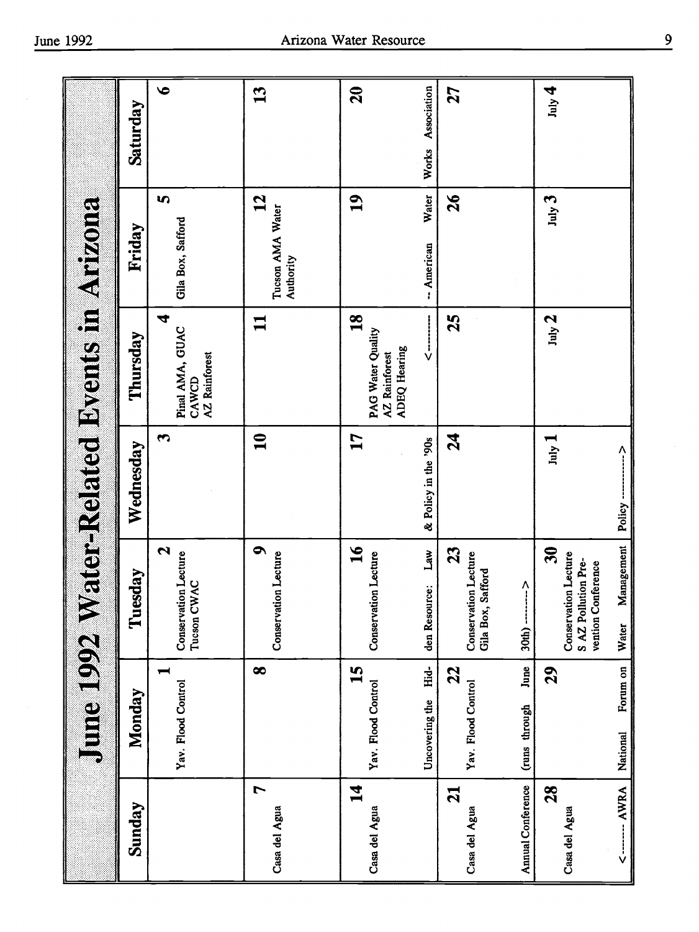|                                                  | Saturday  | $\bullet$                                       | 13                                            | $\mathbf{S}$                                                                               | Association<br>Works             | 27                                                                                                                          | $J_{\text{uly}}$ 4                                                                         |                         |
|--------------------------------------------------|-----------|-------------------------------------------------|-----------------------------------------------|--------------------------------------------------------------------------------------------|----------------------------------|-----------------------------------------------------------------------------------------------------------------------------|--------------------------------------------------------------------------------------------|-------------------------|
|                                                  | Friday    | S<br>Gila Box, Safford                          | $\mathbf{2}$<br>Tucson AMA Water<br>Authority | 19                                                                                         | Water<br>-- American             | $\mathfrak{d}$                                                                                                              | July 3                                                                                     |                         |
| <b>June 1992 Water-Related Byents in Arizona</b> | Thursday  | 4<br>Pinal AMA, GUAC<br>AZ Rainforest<br>CAWCD  | $\mathbf{1}$                                  | $\overline{18}$<br><b>PAG Water Quality</b><br><b>ADEQ Hearing</b><br><b>AZ</b> Rainforest | $\overset{\text{i}}{\mathsf{v}}$ | 25                                                                                                                          | $_{\text{July}}$ 2                                                                         |                         |
|                                                  | Wednesday | S                                               | $\mathbf{u}$                                  | 17                                                                                         | & Policy in the '90s             | $\boldsymbol{z}$                                                                                                            | $July$ $1$                                                                                 | $\frac{1}{2}$<br>Policy |
|                                                  | Tuesday   | 2<br><b>Conservation Lecture</b><br>Tucson CWAC | $\bullet$<br><b>Conservation Lecture</b>      | $\overline{\mathbf{16}}$<br><b>Conservation Lecture</b>                                    | Law<br>den Resource:             | 23<br><b>Conservation Lecture</b><br>Safford<br>$\begin{array}{c}\n\lambda \\ \vdots\n\end{array}$<br>Gila Box,<br>$30th$ ) | $\mathfrak{F}$<br><b>Conservation Lecture</b><br>S AZ Pollution Pre-<br>vention Conference | Management<br>Water     |
|                                                  | Monday    | −<br>Yav. Flood Control                         | $\infty$                                      | <b><u>51</u></b><br>Yav. Flood Control                                                     | Hid-<br>Uncovering the           | June<br>22<br>Yav. Flood Control<br>(runs through                                                                           | 29                                                                                         | Forum on<br>National    |
|                                                  | Sunday    |                                                 | 7<br>Casa del Agua                            | $\overline{\bf 1}$<br>Casa del Agua                                                        |                                  | <b>Annual Conference</b><br>$\overline{21}$<br>Casa del Agua                                                                | 28<br>Casa del Agua                                                                        | AWRA<br>$\frac{1}{2}$   |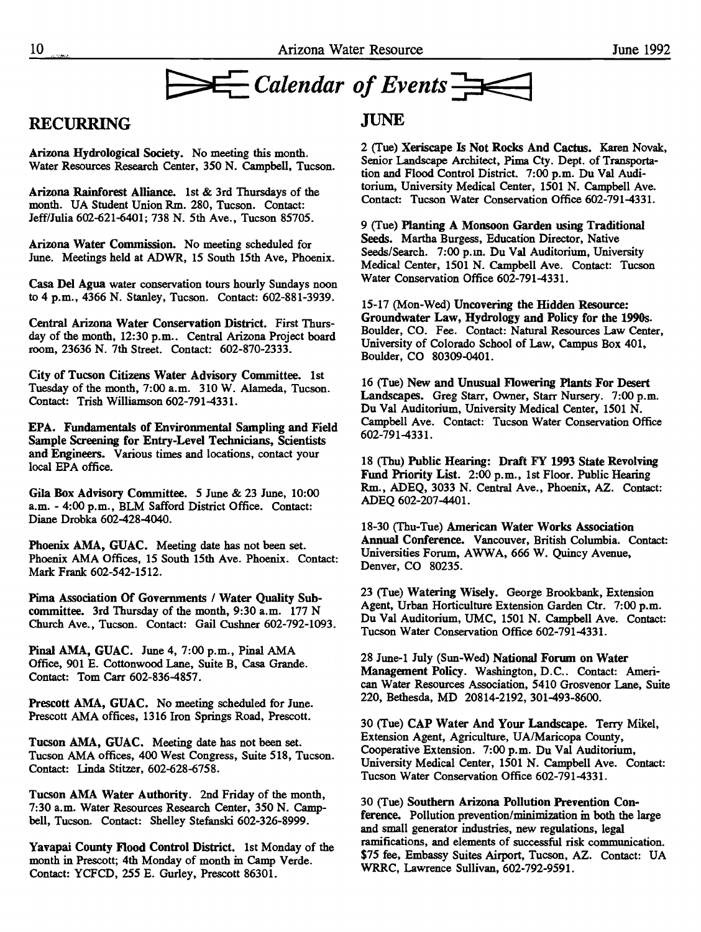

#### RECURRING

Arizona Hydrological Society. No meeting this month. Water Resources Research Center, 350 N. Campbell, Tucson.

Arizona Rainforest Alliance, ist & 3rd Thursdays of the month. UA Student Union Rm. 280, Tucson. Contact: Jeff/Julia 602-621-6401; 738 N. 5th Ave., Tucson 85705.

Arizona Water Commission. No meeting scheduled for June. Meetings held at ADWR, 15 South 15th Ave, Phoenix.

Casa Del Agua water conservation tours hourly Sundays noon to 4 p.m., 4366 N. Stanley, Tucson. Contact: 602-881-3939.

Central Arizona Water Conservation District. First Thursday of the month, 12:30 p.m.. Central Arizona Project board room, 23636 N. 7th Street. Contact: 602-870-2333.

City of Tucson Citizens Water Advisory Committee. ist Tuesday of the month, 7:00 a.m. 310 W. Alameda, Tucson. Contact: Trish Williamson 602-791-4331.

EPA. Fundamentals of Environmental Sampling and Field Sample Screening for Entry-Level Technicians, Scientists and Engineers. Various times and locations, contact your local EPA office.

Gila Box Advisory Committee. 5 June & 23 June, 10:00 a.m. - 4:00 p.m., BLM Safford District Office. Contact: Diane Drobka 602-428-4040.

Phoenix AMA, GUAC. Meeting date has not been set. Phoenix AMA Offices, 15 South 15th Ave. Phoenix. Contact: Mark Frank 602-542-1512.

Pima Association Of Governments / Water Quality Subcommittee. 3rd Thursday of the month, 9:30 a.m. 177 N Church Ave., Tucson. Contact: Gail Cushner 602-792-1093.

Pinal AMA, GUAC. June 4, 7:00 p.m., Pinal AMA Office, 901 E. Cottonwood Lane, Suite B, Casa Grande. Contact: Tom Carr 602-836-4857.

Prescott AMA, GUAC. No meeting scheduled for June. Prescott AMA offices, 1316 Iron Springs Road, Prescott.

Tucson AMA, GUAC. Meeting date has not been set. Tucson AMA offices, 400 West Congress, Suite 518, Tucson. Contact: Linda Stitzer, 602-628-6758.

Tucson AMA Water Authority. 2nd Friday of the month, 7:30 a.m. Water Resources Research Center, 350 N. Campbell, Tucson. Contact: Shelley Stefauski 602-326-8999.

Yavapai County flood Control District, ist Monday of the month in Prescott; 4th Monday of month in Camp Verde. Contact: YCFCD, 255 E. Gurley, Prescott 86301.

#### **JUNE**

2 (Tue) Xeriscape Is Not Rocks And Cactus. Karen Novak, Senior Landscape Architect, Pima Cty. Dept. of Transportation and Flood Control District. 7:00 p.m. Du Val Auditorium, University Medical Center, 1501 N. Campbell Ave. Contact: Tucson Water Conservation Office 602-791-4331.

9 (Tue) Planting A Monsoon Garden using Traditional Seeds. Martha Burgess, Education Director, Native Seeds/Search. 7:00 p.m. Du Val Auditorium, University Medical Center, 1501 N. Campbell Ave. Contact: Tucson Water Conservation Office 602-791-4331.

15-17 (Mon-Wed) Uncovering the Hidden Resource: Groundwater Law, Hydrology and Policy for the 1990s. Boulder, CO. Fee. Contact: Natural Resources Law Center, University of Colorado School of Law, Campus Box 401, Boulder, CO 80309-0401.

16 (Tue) New and Unusual flowering Plants For Desert Landscapes. Greg Starr, Owner, Starr Nursery. 7:00 p.m. Du Vai Auditorium, University Medical Center, 1501 N. Campbell Ave. Contact: Tucson Water Conservation Office 602-791-4331.

18 (Thu) Public Hearing: Draft FY 1993 State Revolving Fund Priority List. 2:00 p.m., ist Floor. Public Hearing Rm., ADEQ, 3033 N. Central Ave., Phoenix, AZ. Contact: ADEQ 602-207-4401.

18-30 (Thu-Tue) American Water Works Association Annual Conference. Vancouver, British Columbia. Contact: Universities Forum, AWWA, 666 W. Quincy Avenue, Denver, CO 80235.

23 (Tue) Watering Wisely. George Brookbank, Extension Agent, Urban Horticulture Extension Garden Ctr. 7:00 p.m. Du Val Auditorium, UMC, 1501 N. Campbell Ave. Contact: Tucson Water Conservation Office 602-791-4331.

28 June-i July (Sun-Wed) National Forum on Water Management Policy. Washington, D.C.. Contact: American Water Resources Association, 5410 Grosvenor Lane, Suite 220, Bethesda, MD 20814-2192, 301-493-8600.

30 (Tue) CAP Water And Your Landscape. Terry Mikel, Extension Agent, Agriculture, UA/Maricopa County, Cooperative Extension. 7:00 p.m. Du Val Auditorium, University Medical Center, 1501 N. Campbell Ave. Contact: Tucson Water Conservation Office 602-791-4331.

30 (Tue) Southern Arizona Pollution Prevention Conference. Pollution prevention/minimization in both the large and small generator industries, new regulations, legal ramifications, and elements of successful risk communication. \$75 fee, Embassy Suites Airport, Tucson, AZ. Contact: UA WRRC, Lawrence Sullivan, 602-792-9591.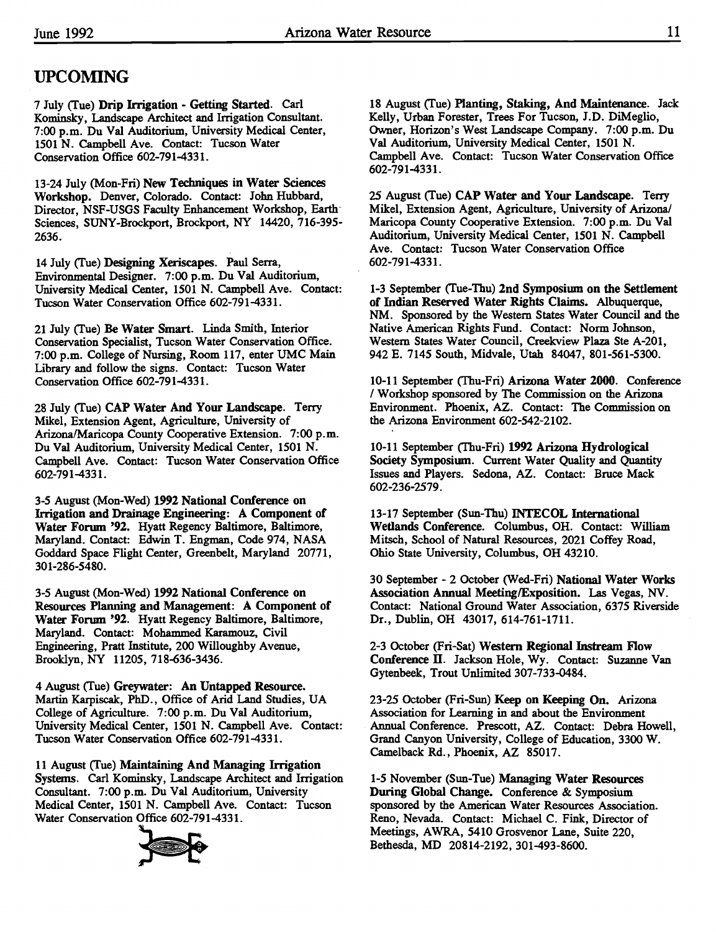## UPCOMING

7 July (Tue) Drip Irrigation - Getting Started. Carl Kominsky, Landscape Architect and Irrigation Consultant. 7:00 p.m. Du Val Auditorium, University Medical Center, 1501 N. Campbell Ave. Contact: Tucson Water Conservation Office 602-791-4331.

13-24 July (Mon-Fri) New Techniques in Water Sciences Workshop. Denver, Colorado. Contact: John Hubbard, Director, NSF-USGS Faculty Enhancement Workshop, Earth Sciences, SUNY-Brockport, Brockport, NY 14420, 716-395- 2636.

14 July (Tue) Designing Xeriscapes. Paul Serra, Environmental Designer. 7:00 p.m. Du Val Auditorium, University Medical Center, 1501 N. Campbell Ave. Contact: Tucson Water Conservation Office 602-791-4331.

21 July (Tue) Be Water Smart. Linda Smith, Interior Conservation Specialist, Tucson Water Conservation Office. 7:00 p.m. College of Nursing, Room 117, enter UMC Main Library and follow the signs. Contact: Tucson Water Conservation Office 602-791-4331.

28 July (Tue) CAP Water And Your Landscape. Terry Mikel, Extension Agent, Agriculture, University of Arizona/Maricopa County Cooperative Extension. 7:00 p.m. Du Val Auditorium, University Medical Center, 1501 N. Campbell Ave. Contact: Tucson Water Conservation Office 602-791-4331.

3-5 August (Mon-Wed) 1992 National Conference on Irrigation and Drainage Engineering: A Component of Water Forum '92. Hyatt Regency Baltimore, Baltimore, Maryland. Contact: Edwin T. Engman, Code 974, NASA Goddard Space Flight Center, Greenbelt, Maryland 20771, 301-286-5480.

3-5 August (Mon-Wed) 1992 National Conference on Resources Planning and Management: A Component of Water Forum '92. Hyatt Regency Baltimore, Baltimore, Maryland. Contact: Mohammed Karamouz, Civil Engineering, Pratt Institute, 200 Willoughby Avenue, Brooklyn, NY 11205, 718-636-3436.

4 August (Tue) Greywater: An Untapped Resource. Martin Karpiscak, PhD., Office of Arid Land Studies, UA College of Agriculture. 7:00 p.m. Du Val Auditorium, University Medical Center, 1501 N. Campbell Ave. Contact: Tucson Water Conservation Office 602-791-4331.

11 August (Tue) Maintaining And Managing Irrigation Systems. Carl Kominsky, Landscape Architect and Irrigation Consultant. 7:00 p.m. Du Val Auditorium, University Medical Center, 1501 N. Campbell Ave. Contact: Tucson Water Conservation Office 602-791-4331.



18 August (Tue) Planting, Staking, And Maintenance. Jack Kelly, Urban Forester, Trees For Tucson, J.D. DiMeglio, Owner, Horizon's West Landscape Company. 7:00 p.m. Du Val Auditorium, University Medical Center, 1501 N. Campbell Ave. Contact: Tucson Water Conservation Office 602-791-4331.

25 August (Tue) CAP Water and Your Landscape. Terry Mike!, Extension Agent, Agriculture, University of Arizona/ Maricopa County Cooperative Extension. 7:00 p.m. Du Val Auditorium, University Medical Center, 1501 N. Campbell Ave. Contact: Tucson Water Conservation Office 602-791-4331.

1-3 September (Tue-Thu) 2nd Symposium on the Settlement of Indian Reserved Water Rights Claims. Albuquerque, NM. Sponsored by the Western States Water Council and the Native American Rights Fund. Contact: Norm Johnson, Western States Water Council, Creekview Plaza Ste A-201, 942 E. 7145 South, Midvale, Utah 84047, 801-561-5300.

10-11 September (Thu-Fri) Arizona Water 2000. Conference / Workshop sponsored by The Commission on the Arizona Environment. Phoenix, AZ. Contact: The Commission on the Arizona Environment 602-542-2102.

10-11 September (Thu-Fri) 1992 Arizona Hydrological Society Symposium. Current Water Quality and Quantity Issues and Players. Sedona, AZ. Contact: Bruce Mack 602-236-2579.

13-17 September (Sun-Thu) INTECOL International Wetlands Conference. Columbus, OH. Contact: William Mitsch, School of Natural Resources, 2021 Coffey Road, Ohio State University, Columbus, OH 43210.

30 September -2 October (Wed-Fri) National Water Works Association Annual Meeting/Exposition. Las Vegas, NV. Contact: National Ground Water Association, 6375 Riverside Dr., Dublin, OH 43017, 614-761-1711.

2-3 October (Fri-Sat) Western Regional Instream Flow Conference II. Jackson Hole, Wy. Contact: Suzanne Van Gytenbeek, Trout Unlimited 307-733-0484.

23-25 October (Fri-Sun) Keep on Keeping On. Arizona Association for Learning in and about the Environment Annual Conference. Prescott, AZ. Contact: Debra Howell, Grand Canyon University, College of Education, 3300 W. Camelback Rd., Phoenix, AZ 85017.

1-5 November (Sun-Tue) Managing Water Resources During Global Change. Conference & Symposium sponsored by the American Water Resources Association. Reno, Nevada. Contact: Michael C. Fink, Director of Meetings, AWRA, 5410 Grosvenor Lane, Suite 220, Bethesda, MD 20814-2192, 301-493-8600.